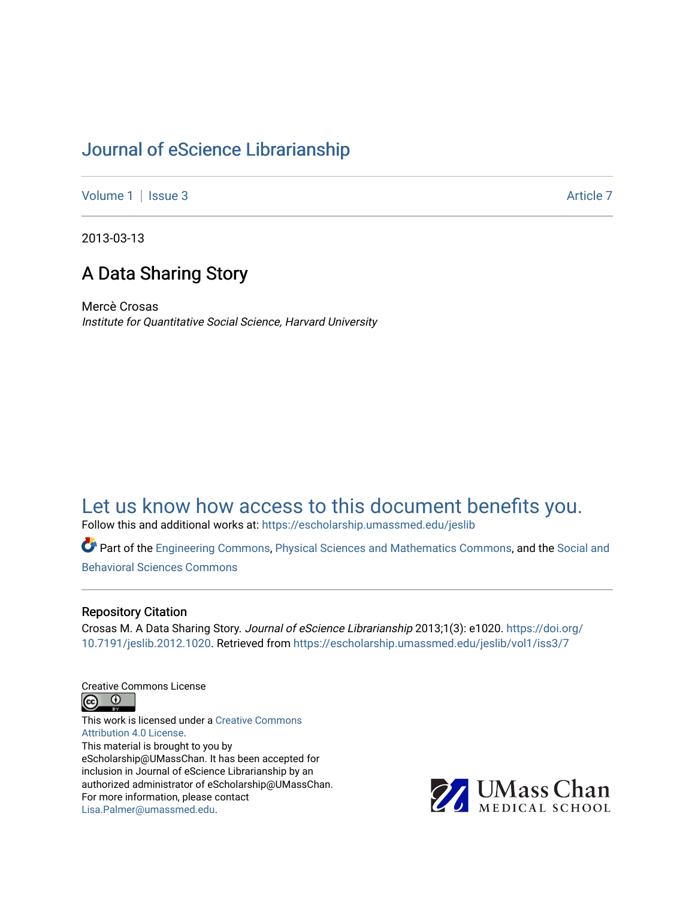# [Journal of eScience Librarianship](https://escholarship.umassmed.edu/jeslib)

[Volume 1](https://escholarship.umassmed.edu/jeslib/vol1) | [Issue 3](https://escholarship.umassmed.edu/jeslib/vol1/iss3) Article 7

2013-03-13

# A Data Sharing Story

Mercè Crosas Institute for Quantitative Social Science, Harvard University

# [Let us know how access to this document benefits you.](https://arcsapps.umassmed.edu/redcap/surveys/?s=XWRHNF9EJE)

Follow this and additional works at: [https://escholarship.umassmed.edu/jeslib](https://escholarship.umassmed.edu/jeslib?utm_source=escholarship.umassmed.edu%2Fjeslib%2Fvol1%2Fiss3%2F7&utm_medium=PDF&utm_campaign=PDFCoverPages) 

Part of the [Engineering Commons](http://network.bepress.com/hgg/discipline/217?utm_source=escholarship.umassmed.edu%2Fjeslib%2Fvol1%2Fiss3%2F7&utm_medium=PDF&utm_campaign=PDFCoverPages), [Physical Sciences and Mathematics Commons](http://network.bepress.com/hgg/discipline/114?utm_source=escholarship.umassmed.edu%2Fjeslib%2Fvol1%2Fiss3%2F7&utm_medium=PDF&utm_campaign=PDFCoverPages), and the [Social and](http://network.bepress.com/hgg/discipline/316?utm_source=escholarship.umassmed.edu%2Fjeslib%2Fvol1%2Fiss3%2F7&utm_medium=PDF&utm_campaign=PDFCoverPages) [Behavioral Sciences Commons](http://network.bepress.com/hgg/discipline/316?utm_source=escholarship.umassmed.edu%2Fjeslib%2Fvol1%2Fiss3%2F7&utm_medium=PDF&utm_campaign=PDFCoverPages) 

#### Repository Citation

Crosas M. A Data Sharing Story. Journal of eScience Librarianship 2013;1(3): e1020. [https://doi.org/](https://doi.org/10.7191/jeslib.2012.1020) [10.7191/jeslib.2012.1020.](https://doi.org/10.7191/jeslib.2012.1020) Retrieved from [https://escholarship.umassmed.edu/jeslib/vol1/iss3/7](https://escholarship.umassmed.edu/jeslib/vol1/iss3/7?utm_source=escholarship.umassmed.edu%2Fjeslib%2Fvol1%2Fiss3%2F7&utm_medium=PDF&utm_campaign=PDFCoverPages) 

Creative Commons License



This work is licensed under a [Creative Commons](https://creativecommons.org/licenses/by/4.0/) [Attribution 4.0 License.](https://creativecommons.org/licenses/by/4.0/) This material is brought to you by eScholarship@UMassChan. It has been accepted for inclusion in Journal of eScience Librarianship by an authorized administrator of eScholarship@UMassChan. For more information, please contact [Lisa.Palmer@umassmed.edu](mailto:Lisa.Palmer@umassmed.edu).

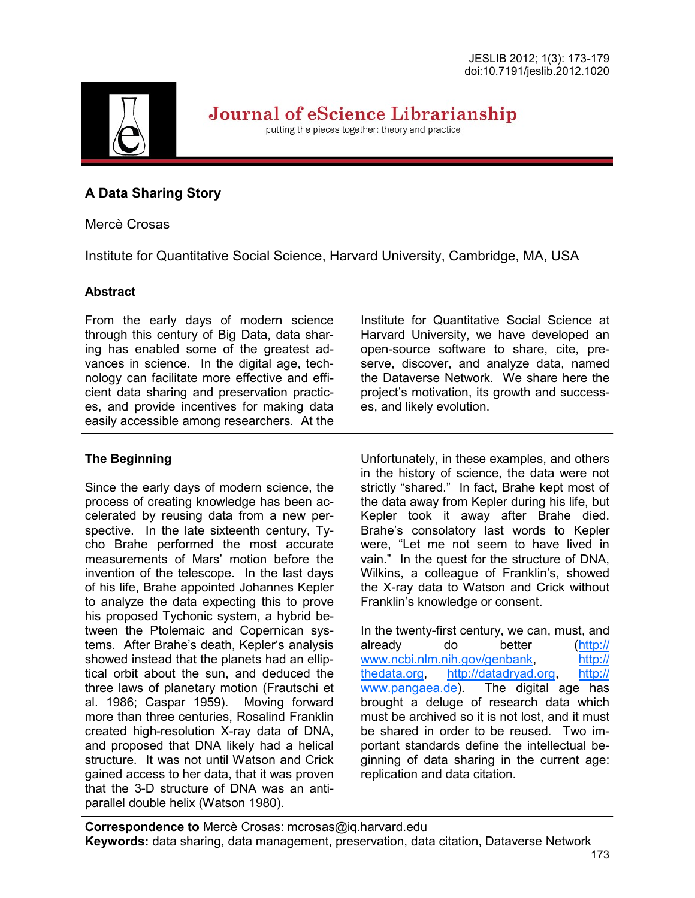

Journal of eScience Librarianship

putting the pieces together: theory and practice

# **A Data Sharing Story**

# Mercè Crosas

Institute for Quantitative Social Science, Harvard University, Cambridge, MA, USA

### **Abstract**

From the early days of modern science through this century of Big Data, data sharing has enabled some of the greatest advances in science. In the digital age, technology can facilitate more effective and efficient data sharing and preservation practices, and provide incentives for making data easily accessible among researchers. At the

# **The Beginning**

Since the early days of modern science, the process of creating knowledge has been accelerated by reusing data from a new perspective. In the late sixteenth century, Tycho Brahe performed the most accurate measurements of Mars' motion before the invention of the telescope. In the last days of his life, Brahe appointed Johannes Kepler to analyze the data expecting this to prove his proposed Tychonic system, a hybrid between the Ptolemaic and Copernican systems. After Brahe's death, Kepler's analysis showed instead that the planets had an elliptical orbit about the sun, and deduced the three laws of planetary motion (Frautschi et al. 1986; Caspar 1959). Moving forward more than three centuries, Rosalind Franklin created high-resolution X-ray data of DNA, and proposed that DNA likely had a helical structure. It was not until Watson and Crick gained access to her data, that it was proven that the 3-D structure of DNA was an antiparallel double helix (Watson 1980).

Institute for Quantitative Social Science at Harvard University, we have developed an open-source software to share, cite, preserve, discover, and analyze data, named the Dataverse Network. We share here the project's motivation, its growth and successes, and likely evolution.

Unfortunately, in these examples, and others in the history of science, the data were not strictly "shared." In fact, Brahe kept most of the data away from Kepler during his life, but Kepler took it away after Brahe died. Brahe's consolatory last words to Kepler were, "Let me not seem to have lived in vain." In the quest for the structure of DNA, Wilkins, a colleague of Franklin's, showed the X-ray data to Watson and Crick without Franklin's knowledge or consent.

In the twenty-first century, we can, must, and already do better ([http://](http://www.ncbi.nlm.nih.gov/genbank) [www.ncbi.nlm.nih.gov/genbank,](http://www.ncbi.nlm.nih.gov/genbank) [http://](http://thedata.org) [thedata.org,](http://thedata.org) [http://datadryad.org,](http://datadryad.org) [http://](http://www.pangaea.de) [www.pangaea.de\).](http://www.pangaea.de) The digital age has brought a deluge of research data which must be archived so it is not lost, and it must be shared in order to be reused. Two important standards define the intellectual beginning of data sharing in the current age: replication and data citation.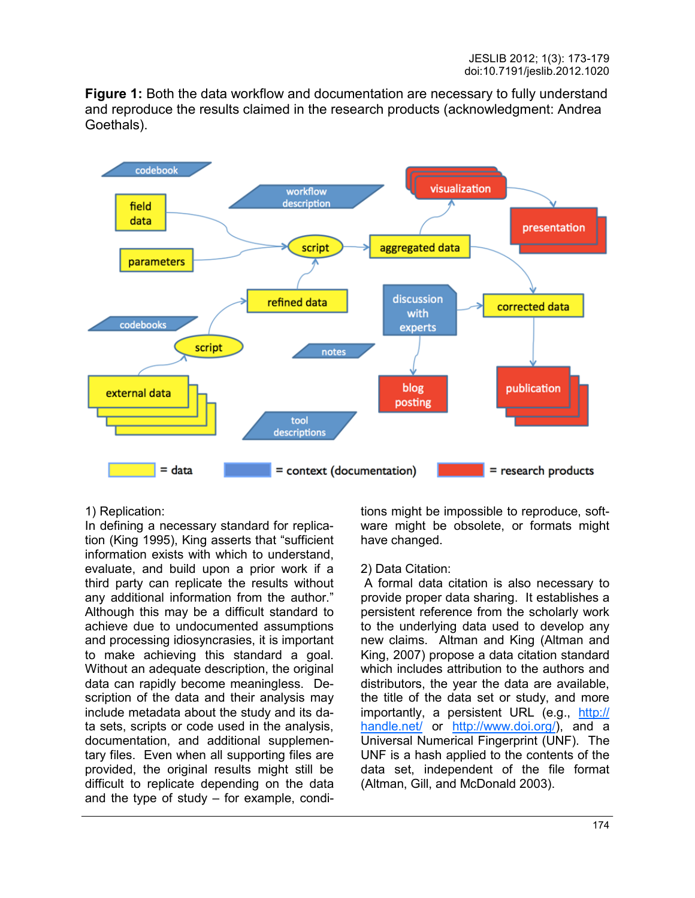**Figure 1:** Both the data workflow and documentation are necessary to fully understand and reproduce the results claimed in the research products (acknowledgment: Andrea Goethals).



#### 1) Replication:

In defining a necessary standard for replication (King 1995), King asserts that "sufficient information exists with which to understand, evaluate, and build upon a prior work if a third party can replicate the results without any additional information from the author." Although this may be a difficult standard to achieve due to undocumented assumptions and processing idiosyncrasies, it is important to make achieving this standard a goal. Without an adequate description, the original data can rapidly become meaningless. Description of the data and their analysis may include metadata about the study and its data sets, scripts or code used in the analysis, documentation, and additional supplementary files. Even when all supporting files are provided, the original results might still be difficult to replicate depending on the data and the type of study – for example, conditions might be impossible to reproduce, software might be obsolete, or formats might have changed.

#### 2) Data Citation:

A formal data citation is also necessary to provide proper data sharing. It establishes a persistent reference from the scholarly work to the underlying data used to develop any new claims. Altman and King (Altman and King, 2007) propose a data citation standard which includes attribution to the authors and distributors, the year the data are available, the title of the data set or study, and more importantly, a persistent URL (e.g., [http://](http://handle.net/) [handle.net/ o](http://handle.net/)r [http://www.doi.org/\)](http://www.doi.org/), and a Universal Numerical Fingerprint (UNF). The UNF is a hash applied to the contents of the data set, independent of the file format (Altman, Gill, and McDonald 2003).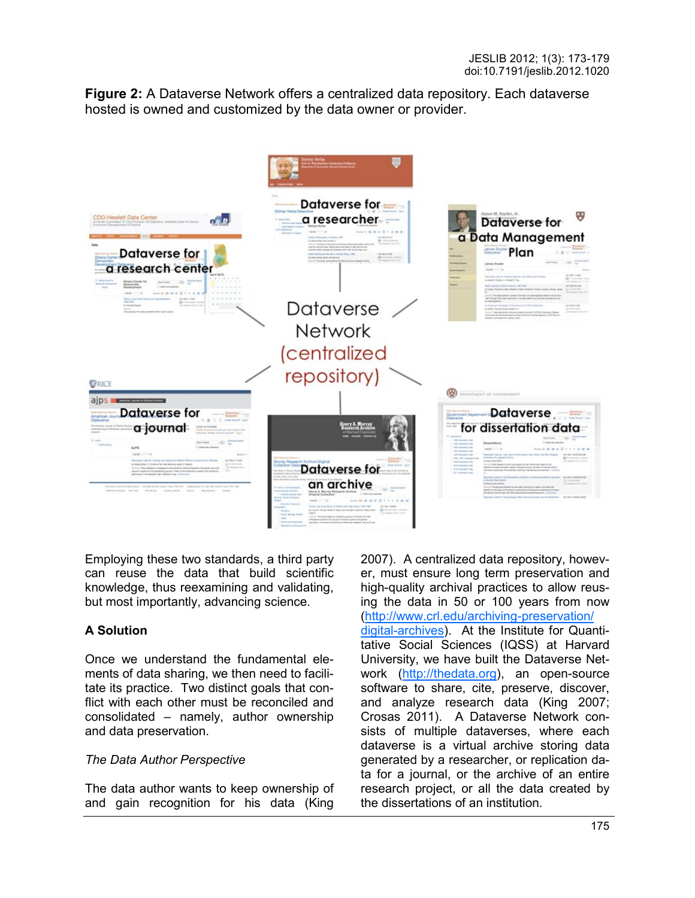**Figure 2:** A Dataverse Network offers a centralized data repository. Each dataverse hosted is owned and customized by the data owner or provider.



Employing these two standards, a third party can reuse the data that build scientific knowledge, thus reexamining and validating, but most importantly, advancing science.

# **A Solution**

Once we understand the fundamental elements of data sharing, we then need to facilitate its practice. Two distinct goals that conflict with each other must be reconciled and consolidated – namely, author ownership and data preservation.

#### *The Data Author Perspective*

The data author wants to keep ownership of and gain recognition for his data (King

2007). A centralized data repository, however, must ensure long term preservation and high-quality archival practices to allow reusing the data in 50 or 100 years from now ([http://www.crl.edu/archiving](http://www.crl.edu/archiving-preservation/digital-archives)-preservation/ digital-[archives\).](http://www.crl.edu/archiving-preservation/digital-archives) At the Institute for Quantitative Social Sciences (IQSS) at Harvard University, we have built the Dataverse Network ([http://thedata.org\)](http://thedata.org), an open-source software to share, cite, preserve, discover, and analyze research data (King 2007; Crosas 2011). A Dataverse Network consists of multiple dataverses, where each dataverse is a virtual archive storing data generated by a researcher, or replication data for a journal, or the archive of an entire research project, or all the data created by the dissertations of an institution.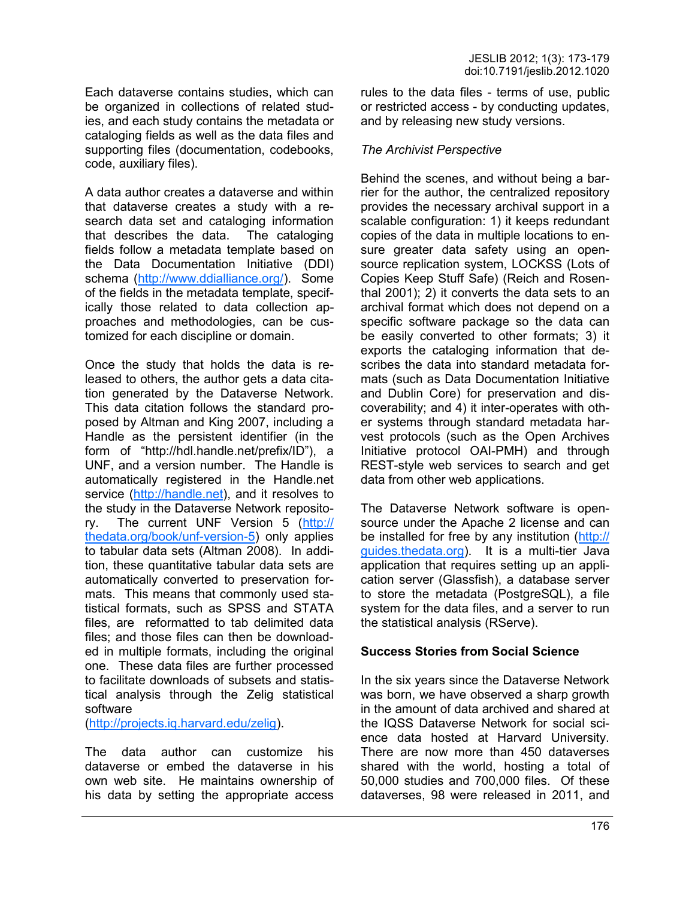Each dataverse contains studies, which can be organized in collections of related studies, and each study contains the metadata or cataloging fields as well as the data files and supporting files (documentation, codebooks, code, auxiliary files).

A data author creates a dataverse and within that dataverse creates a study with a research data set and cataloging information that describes the data. The cataloging fields follow a metadata template based on the Data Documentation Initiative (DDI) schema ([http://www.ddialliance.org/\).](http://www.ddialliance.org/) Some of the fields in the metadata template, specifically those related to data collection approaches and methodologies, can be customized for each discipline or domain.

Once the study that holds the data is released to others, the author gets a data citation generated by the Dataverse Network. This data citation follows the standard proposed by Altman and King 2007, including a Handle as the persistent identifier (in the form of "http://hdl.handle.net/prefix/ID"), a UNF, and a version number. The Handle is automatically registered in the Handle.net service ([http://handle.net\)](http://handle.net), and it resolves to the study in the Dataverse Network repository. The current UNF Version 5 ([http://](http://thedata.org/book/unf-version-5) [thedata.org/book/unf](http://thedata.org/book/unf-version-5)-version-5) only applies to tabular data sets (Altman 2008). In addition, these quantitative tabular data sets are automatically converted to preservation formats. This means that commonly used statistical formats, such as SPSS and STATA files, are reformatted to tab delimited data files; and those files can then be downloaded in multiple formats, including the original one. These data files are further processed to facilitate downloads of subsets and statistical analysis through the Zelig statistical software

([http://projects.iq.harvard.edu/zelig\)](http://projects.iq.harvard.edu/zelig).

The data author can customize his dataverse or embed the dataverse in his own web site. He maintains ownership of his data by setting the appropriate access rules to the data files - terms of use, public or restricted access - by conducting updates, and by releasing new study versions.

#### *The Archivist Perspective*

Behind the scenes, and without being a barrier for the author, the centralized repository provides the necessary archival support in a scalable configuration: 1) it keeps redundant copies of the data in multiple locations to ensure greater data safety using an opensource replication system, LOCKSS (Lots of Copies Keep Stuff Safe) (Reich and Rosenthal 2001); 2) it converts the data sets to an archival format which does not depend on a specific software package so the data can be easily converted to other formats; 3) it exports the cataloging information that describes the data into standard metadata formats (such as Data Documentation Initiative and Dublin Core) for preservation and discoverability; and 4) it inter-operates with other systems through standard metadata harvest protocols (such as the Open Archives Initiative protocol OAI-PMH) and through REST-style web services to search and get data from other web applications.

The Dataverse Network software is opensource under the Apache 2 license and can be installed for free by any institution ([http://](http://guides.thedata.org) [guides.thedata.org\).](http://guides.thedata.org) It is a multi-tier Java application that requires setting up an application server (Glassfish), a database server to store the metadata (PostgreSQL), a file system for the data files, and a server to run the statistical analysis (RServe).

#### **Success Stories from Social Science**

In the six years since the Dataverse Network was born, we have observed a sharp growth in the amount of data archived and shared at the IQSS Dataverse Network for social science data hosted at Harvard University. There are now more than 450 dataverses shared with the world, hosting a total of 50,000 studies and 700,000 files. Of these dataverses, 98 were released in 2011, and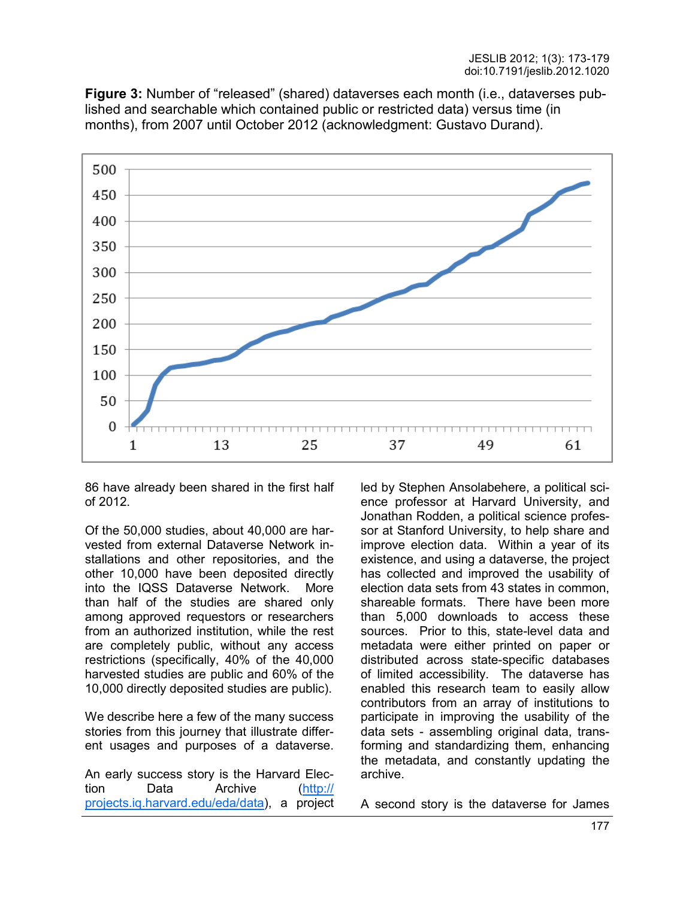**Figure 3:** Number of "released" (shared) dataverses each month (i.e., dataverses published and searchable which contained public or restricted data) versus time (in months), from 2007 until October 2012 (acknowledgment: Gustavo Durand).



86 have already been shared in the first half of 2012.

Of the 50,000 studies, about 40,000 are harvested from external Dataverse Network installations and other repositories, and the other 10,000 have been deposited directly into the IQSS Dataverse Network. More than half of the studies are shared only among approved requestors or researchers from an authorized institution, while the rest are completely public, without any access restrictions (specifically, 40% of the 40,000 harvested studies are public and 60% of the 10,000 directly deposited studies are public).

We describe here a few of the many success stories from this journey that illustrate different usages and purposes of a dataverse.

An early success story is the Harvard Election Data Archive ([http://](http://projects.iq.harvard.edu/eda/data) [projects.iq.harvard.edu/eda/data\)](http://projects.iq.harvard.edu/eda/data), a project led by Stephen Ansolabehere, a political science professor at Harvard University, and Jonathan Rodden, a political science professor at Stanford University, to help share and improve election data. Within a year of its existence, and using a dataverse, the project has collected and improved the usability of election data sets from 43 states in common, shareable formats. There have been more than 5,000 downloads to access these sources. Prior to this, state-level data and metadata were either printed on paper or distributed across state-specific databases of limited accessibility. The dataverse has enabled this research team to easily allow contributors from an array of institutions to participate in improving the usability of the data sets - assembling original data, transforming and standardizing them, enhancing the metadata, and constantly updating the archive.

A second story is the dataverse for James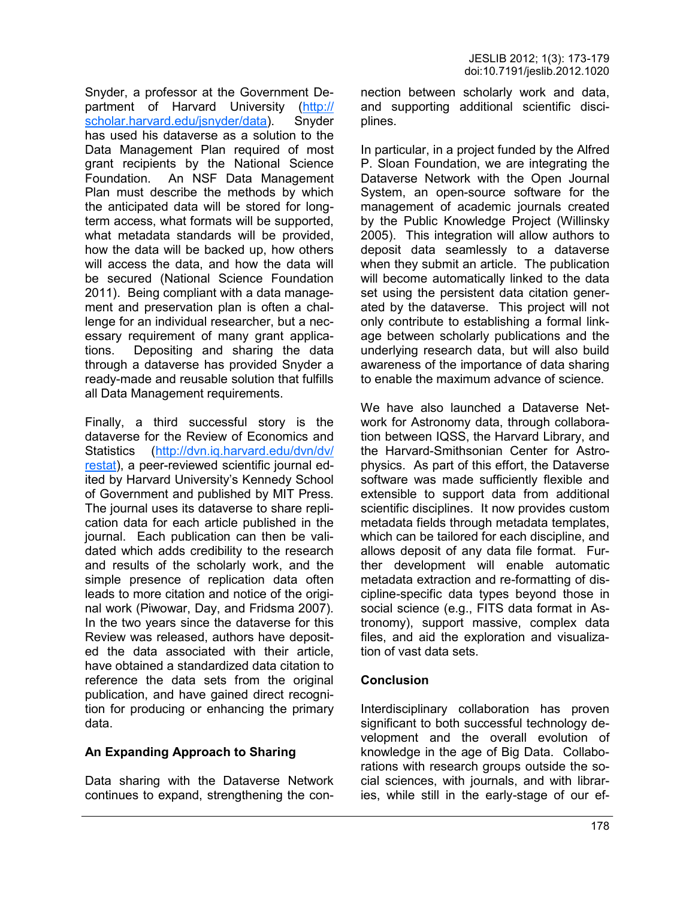Snyder, a professor at the Government Department of Harvard University ([http://](http://scholar.harvard.edu/jsnyder/data) [scholar.harvard.edu/jsnyder/data\).](http://scholar.harvard.edu/jsnyder/data) Snyder has used his dataverse as a solution to the Data Management Plan required of most grant recipients by the National Science Foundation. An NSF Data Management Plan must describe the methods by which the anticipated data will be stored for longterm access, what formats will be supported, what metadata standards will be provided, how the data will be backed up, how others will access the data, and how the data will be secured (National Science Foundation 2011). Being compliant with a data management and preservation plan is often a challenge for an individual researcher, but a necessary requirement of many grant applications. Depositing and sharing the data through a dataverse has provided Snyder a ready-made and reusable solution that fulfills all Data Management requirements.

Finally, a third successful story is the dataverse for the Review of Economics and Statistics ([http://dvn.iq.harvard.edu/dvn/dv/](http://dvn.iq.harvard.edu/dvn/dv/restat) [restat\)](http://dvn.iq.harvard.edu/dvn/dv/restat), a peer-reviewed scientific journal edited by Harvard University's Kennedy School of Government and published by MIT Press. The journal uses its dataverse to share replication data for each article published in the journal. Each publication can then be validated which adds credibility to the research and results of the scholarly work, and the simple presence of replication data often leads to more citation and notice of the original work (Piwowar, Day, and Fridsma 2007). In the two years since the dataverse for this Review was released, authors have deposited the data associated with their article, have obtained a standardized data citation to reference the data sets from the original publication, and have gained direct recognition for producing or enhancing the primary data.

# **An Expanding Approach to Sharing**

Data sharing with the Dataverse Network continues to expand, strengthening the connection between scholarly work and data, and supporting additional scientific disciplines.

In particular, in a project funded by the Alfred P. Sloan Foundation, we are integrating the Dataverse Network with the Open Journal System, an open-source software for the management of academic journals created by the Public Knowledge Project (Willinsky 2005). This integration will allow authors to deposit data seamlessly to a dataverse when they submit an article. The publication will become automatically linked to the data set using the persistent data citation generated by the dataverse. This project will not only contribute to establishing a formal linkage between scholarly publications and the underlying research data, but will also build awareness of the importance of data sharing to enable the maximum advance of science.

We have also launched a Dataverse Network for Astronomy data, through collaboration between IQSS, the Harvard Library, and the Harvard-Smithsonian Center for Astrophysics. As part of this effort, the Dataverse software was made sufficiently flexible and extensible to support data from additional scientific disciplines. It now provides custom metadata fields through metadata templates, which can be tailored for each discipline, and allows deposit of any data file format. Further development will enable automatic metadata extraction and re-formatting of discipline-specific data types beyond those in social science (e.g., FITS data format in Astronomy), support massive, complex data files, and aid the exploration and visualization of vast data sets.

#### **Conclusion**

Interdisciplinary collaboration has proven significant to both successful technology development and the overall evolution of knowledge in the age of Big Data. Collaborations with research groups outside the social sciences, with journals, and with libraries, while still in the early-stage of our ef